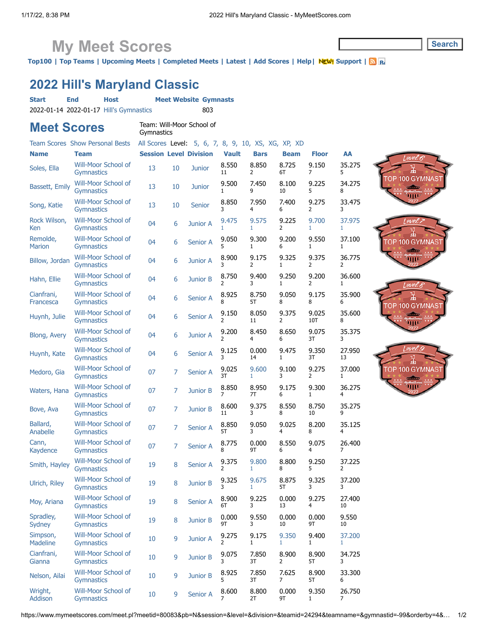## **My Meet Scores**

**[Top100](https://www.mymeetscores.com/at40.pl) | [Top Teams](https://www.mymeetscores.com/topteams.pl) | [Upcoming Meets](https://www.mymeetscores.com/gym.pl?list=1) | [Completed Meets](https://www.mymeetscores.com/gym.pl?list=2) | [Latest](https://www.mymeetscores.com/gym.pl?list=3) | [Add Scores](https://www.mymeetscores.com/add1scores.pl) | [Help|](https://www.mymeetscores.com/help.pl?page=gym) NEW! [Support](https://www.mymeetscores.com/support) | <b>S**or

## **2022 Hill's Maryland Classic**

| <b>Start</b>                | <b>End</b><br><b>Host</b>                |  |                                         |    | <b>Meet Website Gymnasts</b>                        |                         |                         |                       |                         |              |
|-----------------------------|------------------------------------------|--|-----------------------------------------|----|-----------------------------------------------------|-------------------------|-------------------------|-----------------------|-------------------------|--------------|
|                             | 2022-01-14 2022-01-17 Hill's Gymnastics  |  |                                         |    | 803                                                 |                         |                         |                       |                         |              |
| <b>Meet Scores</b>          |                                          |  | Team: Will-Moor School of<br>Gymnastics |    |                                                     |                         |                         |                       |                         |              |
|                             | <b>Team Scores Show Personal Bests</b>   |  |                                         |    | All Scores Level: 5, 6, 7, 8, 9, 10, XS, XG, XP, XD |                         |                         |                       |                         |              |
| <b>Name</b>                 | <b>Team</b>                              |  |                                         |    | <b>Session Level Division</b>                       | <b>Vault</b>            | <b>Bars</b>             | <b>Beam</b>           | <b>Floor</b>            | AA           |
| Soles, Ella                 | Will-Moor School of<br>Gymnastics        |  | 13                                      | 10 | <b>Junior</b>                                       | 8.550<br>11             | 8.850<br>2              | 8.725<br>6T           | 9.150<br>7              | 35.275<br>5  |
| Bassett, Emily              | Will-Moor School of<br>Gymnastics        |  | 13                                      | 10 | Junior                                              | 9.500<br>1              | 7.450<br>9              | 8.100<br>10           | 9.225<br>5              | 34.275<br>8  |
| Song, Katie                 | Will-Moor School of<br>Gymnastics        |  | 13                                      | 10 | Senior                                              | 8.850<br>3              | 7.950<br>4              | 7.400<br>6            | 9.275<br>$\overline{2}$ | 33.475<br>3  |
| Rock Wilson,<br>Ken         | Will-Moor School of<br>Gymnastics        |  | 04                                      | 6  | <b>Junior A</b>                                     | 9.475<br>1              | 9.575<br>$\mathbf{1}$   | 9.225<br>2            | 9.700<br>1              | 37.975<br>1  |
| Remolde,<br><b>Marion</b>   | Will-Moor School of<br>Gymnastics        |  | 04                                      | 6  | Senior A                                            | 9.050<br>5              | 9.300<br>$\mathbf{1}$   | 9.200<br>6            | 9.550<br>1              | 37.100<br>1  |
| Billow, Jordan              | Will-Moor School of<br>Gymnastics        |  | 04                                      | 6  | <b>Junior A</b>                                     | 8.900<br>3              | 9.175<br>$\overline{2}$ | 9.325<br>$\mathbf{1}$ | 9.375<br>2              | 36.775<br>2  |
| Hahn, Ellie                 | Will-Moor School of<br><b>Gymnastics</b> |  | 04                                      | 6  | Junior B                                            | 8.750<br>$\overline{2}$ | 9.400<br>3              | 9.250<br>1            | 9.200<br>$\overline{2}$ | 36.600<br>1  |
| Cianfrani,<br>Francesca     | Will-Moor School of<br>Gymnastics        |  | 04                                      | 6  | Senior A                                            | 8.925<br>8              | 8.750<br>5T             | 9.050<br>8            | 9.175<br>8              | 35.900<br>6  |
| Huynh, Julie                | Will-Moor School of<br><b>Gymnastics</b> |  | 04                                      | 6  | <b>Senior A</b>                                     | 9.150<br>2              | 8.050<br>11             | 9.375<br>2            | 9.025<br>10T            | 35.600<br>8  |
| Blong, Avery                | Will-Moor School of<br>Gymnastics        |  | 04                                      | 6  | Junior A                                            | 9.200<br>$\overline{2}$ | 8.450<br>4              | 8.650<br>6            | 9.075<br>3T             | 35.375<br>3  |
| Huynh, Kate                 | Will-Moor School of<br>Gymnastics        |  | 04                                      | 6  | Senior A                                            | 9.125<br>3              | 0.000<br>14             | 9.475<br>1            | 9.350<br>3T             | 27.950<br>13 |
| Medoro, Gia                 | Will-Moor School of<br>Gymnastics        |  | 07                                      | 7  | Senior A                                            | 9.025<br>3T             | 9.600<br>1              | 9.100<br>3            | 9.275<br>2              | 37.000<br>1  |
| Waters, Hana                | Will-Moor School of<br><b>Gymnastics</b> |  | 07                                      | 7  | Junior B                                            | 8.850<br>7              | 8.950<br>7T             | 9.175<br>6            | 9.300<br>1              | 36.275<br>4  |
| Bove, Ava                   | Will-Moor School of<br>Gymnastics        |  | 07                                      | 7  | Junior B                                            | 8.600<br>11             | 9.375<br>3              | 8.550<br>8            | 8.750<br>10             | 35.275<br>9  |
| Ballard,<br>Anabelle        | Will-Moor School of<br><b>Gymnastics</b> |  | 07                                      | 7  | Senior A                                            | 8.850<br>5T             | 9.050<br>3              | 9.025<br>4            | 8.200<br>8              | 35.125<br>4  |
| Cann,<br>Kaydence           | Will-Moor School of<br><b>Gymnastics</b> |  | 07                                      | 7  | Senior A                                            | 8.775<br>8              | 0.000<br>9Τ             | 8.550<br>6            | 9.075<br>4              | 26.400<br>7  |
| Smith, Hayley               | Will-Moor School of<br><b>Gymnastics</b> |  | 19                                      | 8  | Senior A                                            | 9.375<br>2              | 9.800<br>1.             | 8.800<br>8            | 9.250<br>5              | 37.225<br>2  |
| Ulrich, Riley               | Will-Moor School of<br>Gymnastics        |  | 19                                      | 8  | Junior B                                            | 9.325<br>3              | 9.675<br>1              | 8.875<br>5T           | 9.325<br>3              | 37.200<br>3  |
| Moy, Ariana                 | Will-Moor School of<br>Gymnastics        |  | 19                                      | 8  | Senior A                                            | 8.900<br>6T             | 9.225<br>3              | 0.000<br>13           | 9.275<br>4              | 27.400<br>10 |
| Spradley,<br>Sydney         | Will-Moor School of<br>Gymnastics        |  | 19                                      | 8  | Junior B                                            | 0.000<br>9Τ             | 9.550<br>3              | 0.000<br>10           | 0.000<br>9Τ             | 9.550<br>10  |
| Simpson,<br><b>Madeline</b> | Will-Moor School of<br><b>Gymnastics</b> |  | 10                                      | 9  | Junior A                                            | 9.275<br>2              | 9.175<br>$\mathbf{1}$   | 9.350<br>1.           | 9.400<br>1              | 37.200<br>1  |
| Cianfrani,<br>Gianna        | Will-Moor School of<br>Gymnastics        |  | 10                                      | 9  | Junior B                                            | 9.075<br>3              | 7.850<br>3T             | 8.900<br>2            | 8.900<br>5T             | 34.725<br>3  |
| Nelson, Ailai               | Will-Moor School of<br><b>Gymnastics</b> |  | 10                                      | 9  | Junior B                                            | 8.925<br>5              | 7.850<br>3T             | 7.625<br>7            | 8.900<br>5T             | 33.300<br>6  |
| Wright,<br>Addison          | Will-Moor School of<br>Gymnastics        |  | 10                                      | 9  | Senior A                                            | 8.600<br>7              | 8.800<br>2T             | 0.000<br>9Τ           | 9.350<br>1              | 26.750<br>7  |





WIL

**Search**